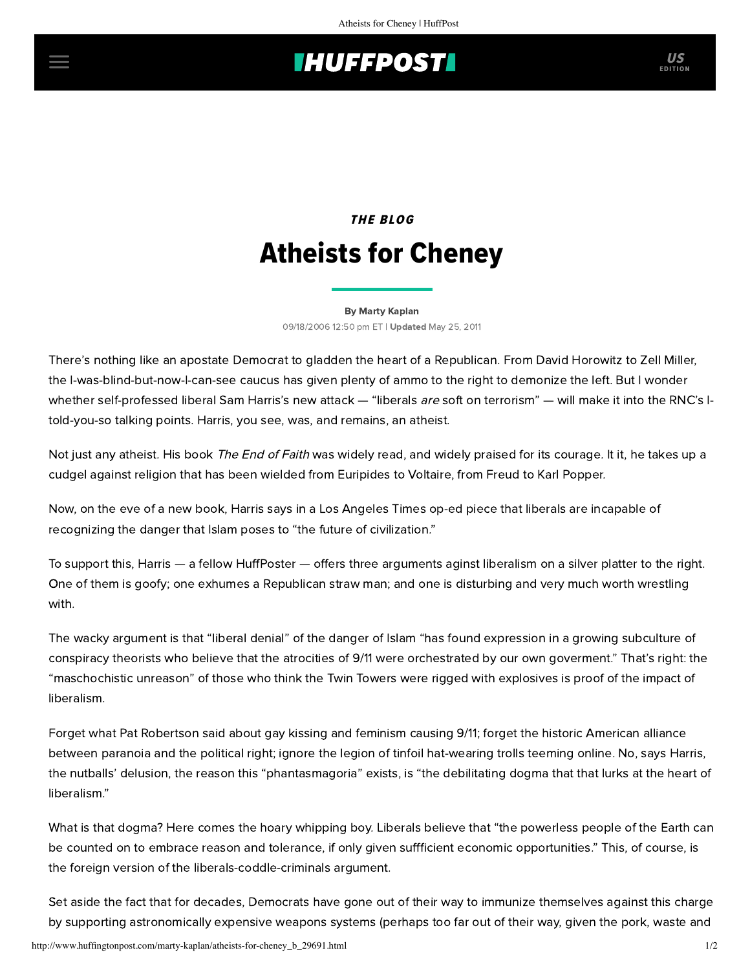# **THUFFPOST**

# THE BLOG Atheists for Cheney

### [By Marty Kaplan](http://www.huffingtonpost.com/author/marty-kaplan)

09/18/2006 12:50 pm ET | Updated May 25, 2011

There's nothing like an apostate Democrat to gladden the heart of a Republican. From David Horowitz to Zell Miller, the I-was-blind-but-now-I-can-see caucus has given plenty of ammo to the right to demonize the left. But I wonder whether self-professed liberal Sam Harris's new attack — "liberals are soft on terrorism" — will make it into the RNC's Itold-you-so talking points. Harris, you see, was, and remains, an atheist.

Not just any atheist. His book The End of Faith was widely read, and widely praised for its courage. It it, he takes up a cudgel against religion that has been wielded from Euripides to Voltaire, from Freud to Karl Popper.

Now, on the eve of a new book, Harris says in a Los Angeles Times [op-ed piece](http://www.latimes.com/news/opinion/la-oe-harris18sep18,0,1897169.story?coll=la-opinion-rightrail) that liberals are incapable of recognizing the danger that Islam poses to "the future of civilization."

To support this, Harris — a fellow HuffPoster — offers three arguments aginst liberalism on a silver platter to the right. One of them is goofy; one exhumes a Republican straw man; and one is disturbing and very much worth wrestling with.

The wacky argument is that "liberal denial" of the danger of Islam "has found expression in a growing subculture of conspiracy theorists who believe that the atrocities of 9/11 were orchestrated by our own goverment." That's right: the "maschochistic unreason" of those who think the Twin Towers were rigged with explosives is proof of the impact of liberalism.

Forget what Pat Robertson said about gay kissing and feminism causing 9/11; forget the historic American alliance between paranoia and the political right; ignore the legion of tinfoil hat-wearing trolls teeming online. No, says Harris, the nutballs' delusion, the reason this "phantasmagoria" exists, is "the debilitating dogma that that lurks at the heart of liberalism."

What is that dogma? Here comes the hoary whipping boy. Liberals believe that "the powerless people of the Earth can be counted on to embrace reason and tolerance, if only given suffficient economic opportunities." This, of course, is the foreign version of the liberals-coddle-criminals argument.

Set aside the fact that for decades, Democrats have gone out of their way to immunize themselves against this charge by supporting astronomically expensive weapons systems (perhaps too far out of their way, given the pork, waste and